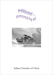MARRIMGE...



Indian Churches of Christ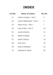# **INDEX**

| Lsn.No. | <b>Name of Lesson</b>      | Pg. No. |
|---------|----------------------------|---------|
| 01      | Ahab & Jezebel - Part 1    | 5       |
| 02      | Uriah & Bathsheba - Part 2 | 6       |
| 03      | Adam & Eve - Part 1        | 7       |
| 04      | Cain & Abel - Part 2       | 10      |
| 05      | Jacob & Rachel             | 12      |
| 06      | Nabal & Abigail            | 17      |
| 07      | Noah & Family              | 18      |
| 08      | Eli & Sons                 | 20      |
| 09      | Isaac & Rebekah            | 22      |
| 10      | Abraham & Sarah            | 28      |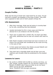# **Lesson - 1 AHAB & JEZEBEL - PART# I**

### **Couple Profile:**

Ahab was the king of Israel who ruled Israel for 22 years. He got married to Jezebel, the daughter of the king of Sidon. They both were supposed to take care of God's people (1Kings 20).

#### **Life Assessment:**

- 1. After their marriage, Ahab was led astray to worship Baal by his wife, something that God detested
- 2. Jezebel dominated his life in many ways and Ahab too allowed her to do whatever she felt like doing
- 3. There was no Godly fear in Ahab's life, his heart was filled with pride, selfishness and he was not content with what he had
- 4. Both Ahab & Jezebel compromised and were involved in all kinds of sin and Ahab was considered as the most evil king in the eyes of God
- 5. In their greed and hatred, they falsely accused Naboth and sentenced him to be stoned to death
- 6. They both had a miserable death and all their sons and relatives were brutally killed as prophesied by the prophet Eliza

#### **Lessons to Learn:**

□ Be careful to *SERVE GOD ALONE* as a family (at times, our jobs, people, worldly matters etc can become a Baal to us) Beware of *GREED* (don't focus on what we do not have) Watch out for any *EVIL INTENTION* Never *TOLERATE SIN* amongst yourselves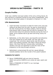# **Lesson 2 URIAH & BATHSHEBA - PART# II**

### **Couple Profile:**

Uriah was a faithful and loyal soldier of the army of King David. He was married to a beautiful woman by the name of Bathsheba. They lived close to the king's palace in Jerusalem (2 Samuel 11:1-28).

#### **Life Assessment:**

- 1. Uriah had deep convictions to fight for God's army and was willing to be away from his wife. He was so concerned for the Ark of God and for his fellow soldiers, that he refused King David's offer of being with his wife for sometime. He did not think about his personal interests during the time of battle. All he wanted was to go back and bring victory for the Lord
- 2. Bathsheba, on the other hand, was beautiful and attractive from the outside but on the inside, she was ugly and unspiritual. Her conviction about purity was low and she didn't mind getting exposed. She didn't refuse the King's desire. She never felt any remorse after committing adultery and was not ashamed to send the news of her pregnancy to the king through someone
- 3. Bathsheba's compromised life and her casual attitude towards adultery led to the murder of her great husband

#### **Lessons to Learn:**

□ Never *COMPROMISE* with any kind of impurity Watch out and be *CAREFUL* as to what we read, watch and think Keep a *STANDARD OF PURITY* in our marriage (Ephesian5:2)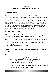# **Lesson 3 ADAM AND EVE - PART# I**

### **Couple Profile:**

They were the first couple of the world. God ordained their marriage. It was God's choice that Adam received Eve as his wife. As family responsibility, Adam was supposed to work and take care of the Garden entrusted to his care. He lived in close proximity to God. Eve was to be a helper to Adam, taking a lower role than Adam and a spiritual co-partner to him, helping each other stay faithful to God and uphold His instructions. They had sons and daughters (how many is not recorded in the Bible). Prominent among their children are Cain, Abel and Seth.

### **Scripture Reading:**

Adam's view of his wife and the very reason as to how they become an independent family – Read Genesis 2: 23-24

How their relationship with God and with each other got strained:

- a. Instruction by God to Adam Genesis 1:28-29, Genesis 2:15-17
- b. Fall of the first couple Genesis 3

#### **What went wrong with Adam & Eve: (thoughts to consider?)**

#### **Adam:**

- 1. Adam's understanding of God's word could be one of the reasons. Had he been serious about the depth of understanding and commitment to God's word, he wouldn't have led Eve astray (Hebrews 2:1)
- 2. Cave into pressure exerted by Eve. God destined man to be the head of his wife (Ephesians 5:23)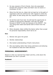- 3. He was unaware of Eve's friends. Here she associated herself with someone crafty and Adam was not aware (1 Corinthian 15:33)
- 4. When Eve fell into sin, Adam did not lead her to the path of repentance (did not confront her with regards to what she did) rather he also along with her, enjoyed the pleasure of sin
- 5. He hid the truth from God. He still had the opportunity to confess to God and be repentant. God was not upset because of *WHAT* he did, but because of his *DECEIT* - the very thing that made God banish both of them from His garden
- 6. When discipled, Adam shifted the blame rather than accept his personal responsibility which led to sin

#### **Eve:**

- 1. Woman who gave into greed
- 2. Worldly relationships
- 3. She lacked understanding of God's instructions
- 4. She was leading rather than being submissive and allowing her husband to lead and make decisions

### **PERSONAL ASSESSEMENT:**

Based on what you learned from Adam and Eve, write down the weaknesses you see in yourself.

#### **Husband:**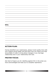#### **Wife:**

### **ACTION PLAN:**

Having identified your weaknesses, please invest quality time with your support group leader and ask them how you need to be held accountable in order to bring about changes in you marriage relationship and in your relationship with God.

#### **PRAYER FOCUS:**

Ask God to forgive you for rebelling against Him in the areas you have acknowledged and lead you to complete repentance.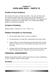# **Lesson 4 CAIN AND ABLE - PART# II**

### **Profile of first brothers:**

We all know the story of Cain and Abel - the sons of Adam and Eve. What we fail to look into in the story is the influence of parents on children who lived different lifestyles. The objective of analysis of this story is to help each of us understand hidden things we overlook as parents.

#### **Scripture Reading:**

Sibling Rivalry: Genesis 4:1-10; 1 John 3:12

#### **Hidden Principles on Parenting:**

- 1. Do not take sides when it come to children
- 2. Do devotionals to build their relationship with each other
- 3. Teach them to revere God and give him their best not the left over. Make sure our kids attend devotions and church services
- 4. Disciple kids with firmness and with the word of God. Deal with the heart issues. Children cannot throw tantrums

#### **PERSONAL ASSESSEMENT:**

Based on the above study, which areas have you been neglecting in your Children. Write it down below:

#### **As Father:**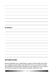#### **As Mother:**

#### **ACTION PLAN:**

Having identified your weaknesses, please invest quality time with your support group leader and ask them how you need to be held accountable to bring about changes in your children. If your child is 10 years and above in age, have a discipler help them out.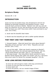# **Lesson 5 JACOB AND RACHEL**

### **Scripture Study:**

Genesis 28: 1–32

### **INTRODUCTION**

Jacob ran from his brother Esau who threatened to kill him for stealing his birthright (position) and blessing (money). Jacob received God's promise at Bethel. "Behold I am with you and will keep you wherever you go, and will bring you back to this land; for I will not leave you until I have done what I have promised to you" (Gen. 28:15 NIV).

a. Jacob was the deceitful deal maker

b. Rachel was the beautiful girl with a selfish spoiled attitude

### **THEY MEET AND THEY MARRIED**

1. Outward beauty - What did Jacob first notice about Rachel $\Box$ "Beautiful of form and face" (29:17 NIV). "Beautiful and well formed" (28:17 KJV).

2. Love at first sight - What was Jacob's response to Rachel $\Box$ "Rolled the stone from the well and watered the flock" (29:10). "Jacob kissed Rachel and wept" (28:11). Just showing off. 3. Not long enough - How long before Jacob commits to marry Rachel $\square$ "Jacob stayed with Laban one month" (29:14). I will serve thee seven years for Rachel thy youngest daughter" (29:18).

### **HOW LONG BEFORE PROPOSING?**

- To know her well enough to make a life-long commitment
- To know it's true love and not sexual lust
- To know God's will
- To know the person, not our mental image of them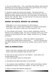4. Yes, but it takes time - Can a marriage that begins with physical attraction grow into lasting love $\Box$  Hint: You don't know if it is true love until you endure the first squabble!

5. Absence makes the heart grow fonder - Did Jacob lose his feelings in seven years of service $\Box$ "Jacobs served seven years for Rachel and they seemed unto him, but a few days, for the love he had for her" (29:20). Hint: You don't know if it's true love until you endure a limited separation.

### **MARRY IN HASTE, REPENT IN LEISURE**

- Infatuation is in a hurry because it's self-centered
- Infatuation says I must marry because you make me feel good
- Love says I can wait to make sure this is good for you

6. The trickster got tricked - The sly Laban substitutes Leah for Rachel on the wedding night. You hurt a marriage when you "trick" a person to marrying you for sex, a baby, money, fun, or "empty promises"

7. Give Leah a honeymoon - What was Laban's explanation $\Box$ "Complete this bridal week (honeymoon) . . . and we will give you the other (Rachel) for the service for another seven years" (29:27 NIV)

### **TWO ALTERNATIVES**

- Jacob could have rejected Leah (and lost Rachel)
- Jacob could have accepted Leah as God's will

8. One man for one woman for one lifetime - Does God's will  $include$  bigamy $\square$ No!

a. God uses people where He finds them

b. Sometimes the Bible describes not prescribes

1. Her jealousy was manifested - When Leah had children, Rachel complained to Jacob, "Give me children, or else I die" (30:1)

2. What is wrong with Rachel's jealousy $\Box$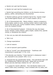a. Rachel not Leah had the beauty

b. Rachel not Leah had the husband's love

c. Rachel had everything but children, so she became envious, jealous, selfish, demanding and discontented

d. Rachel's jealousy got her husband mad at her. "Jacob's anger was kindled against Rachel, am I in God's stead $\Box$  (30:2)

3. Sin of discontented wife - Wants children, rejects a pregnancy, home-maker, wants to work, working mother wants to stay home, doesn't like home, job, money husband makes, husband's habits, even the husband himself

4. Sin of discontented husband - Criticizes the way she keeps house, dresses, treats children, gains weight, wastes time, spends money, or disciplines the children

5. How can you deal with discontentment $\Box$ 

a. Talk it out

b. Change expectations

- c. Look at reasons
- d. Look at spouse's good qualities

e. Plan to "crucify" your discontentment - "Godliness with contentment is great gain" (I Tim. 6:6).

f. Re-educate your desires, "I have learned in whatsoever state I am, therewith to be content" (Phil. 4:11)

6. Schemed like her grandmother Sarah - How did Rachel deal with her childlessness<sup>'</sup> Rachel told Jacob, 'Sleep with my servant Bilhah and she shall bear children for me'" (30:3 ELT)

7. A contest for Jacob's affection - How did Rachel relate to her sister $\square$ "With many wrestlings, I have wrestled with my sister, and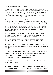I have indeed won" (Gen. 30:8 ELT)

8. Traded sex for salad - Rachel always wanted something that wasn't hers. Rueben found special roots growing and brought them to Leah. Rachel begged for them. Leah angrily replied, "Wasn't it enough that you stole Jacob's love, now you will steal my son's roots" (30:15). Rachel said, "I'll let him sleep with you tonight if you give me the roots" (30:15 ELT).

9. Wanted one more son - Was Rachel content when she finally gave birth to a son $\Box$  Named him Joseph, which means "may he add." Then said, "May the Lord give me another son" (30:24 ELT).

10. Stole her father's inheritance - How else did Rachel show her nature when she left her father's family $\Box$ "Rachel had stolen the images that were her father's" (31:19). Idols were symbolic of inheritance right

11. Lied to father - When Laban caught up with Jacob and the family returning to the Holy Land, he searched for them. Sweet beautiful little Rachel was an ill-tempered "demon."

# **DID THEY LIVE HAPPILY EVER AFTER?**

1. Gave Rachel protection - When facing danger, Jacob gave Rachel more protection than the rest of the family. (33:2)

2. God gave her one last request - Rachel had another son with severe labor pains. Before dying she named him, "Son of my sorrow." Jacob re-named him Benjamin. "Son of my right hand."

3. Protected "Ben" like "Rachel" - Did Jacob ever get over Rachel⊡No!

4. Irony - What can be said about their burial  $\square$  Jacob buried next to Leah, but Rachel lies alone by the side of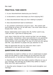#### the road

### **PRACTICAL TAKE AWAYS**

1. Is your discontentment destroying your family  $\Box$ 

2. Is discontent a cancer that keeps you from enjoying life $\Box$ 

- 3. Does discontentment keep you from relating to people $\Box$
- 4. Does discontentment lead to loneliness $\Box$

5. Our greatest contentment is found in God - "Be content with such things as ye have, for He hath said, I will never leave thee or forsake thee" (Heb. 13:5)

Family relationships aren't always fair. My mother used to say, "LIFE isn't fair." I got tired of hearing that.

Lord, when I think life isn't fair, remind me that I am not always fair to others. Sometimes I show more attention to one grandchild than another. I know I've been guilty of responding more to the family member who does things "my way or to the one who agrees with ME. I pay attention to people who pay attention to me.

Help me appreciate the way You lead even when I don't understand or even see the end result.

### **QUESTIONS FOR DISCUSSION**

1.Sometimes we need to confess our sins or weaknesses to paper. Write out the selfish or mean things you do that have hurt your spiritual growth, or harmed your relationship with your spouse.

2. Describe a person who has made a positive influence on you or your marriage. How did they do it $\Box$  Were they selfish or mean  $\Box$ What were their good qualities $\Box$ 

3. Describe some changes in your life that would strengthen your marriage.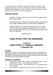4. Describe some changes in your spouse that you'd like to see happen. What can you do to influence a change in his/her life $\square$ Remembering fussing will not open them up to change, but rather, fussing will close them to your suggestions.

#### **PRAYER FOCUS**

- RAISING A FAMILY WHO WILL ALWAYS DO THINGS GOD'S WAY IS OUR GOAL
- TEACHING GODLY CONTENT AT HOME STARTS WITH BEING THE SAME TOWARDS EACH OTHER IN OUR MARRIAGE
- APPRECIATING EACH OTHER'S PRESENCE IN OUR LIVES MORE OFTEN WILL INSPIRE CHILDREN ALSO TO VALUE EACH OTHER AND NOT BE LOST IN SIBLING RIVALRY, ENVY AND BITTERNESS

#### \*\*\*\*\*\*\*\*

# **CASE STUDY FOR THE MARRIEDS'**

# **Lesson 6 CASE STUDY 1: NABAL & ABIGAIL 1 Samuel 25**

#### **Profile:**

Nabal was a wealthy man, but foolish, surly and mean in his dealings. His wife Abigail was wise, God-fearing and beautiful. Nabal got into trouble with King David by insulting the men David had sent. Abigail, with all her wisdom and humble spirit rescued Nabal from death.

#### **Abigail's qualities:**

- $\Box$  Abigail was submissive, in spite of a foolish husband was considerate - wise - God-fearing and humble.
- $\Box$  She's not frustrated not complaining, but accepted things in her stride.
- $\Box$  She saved her husband and her family from the attack of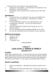David with her wise decision and humble heart.

- $\Box$  Abigail was not quitting not blaming her husband for her situations - wise with words
- $\Box$  She spoke to her husband with humility and at the right timing.

### **Questions:**

- $\Box$  If your spouse is un-spiritual, how are you handling the situations - are you blaming / complaining / feeling  $v$ ictimised $\Box$
- $\Box$  Are you grateful to God for your spouse $\Box$  If you are complaining / blaming - you are not spiritual and ungrateful.
- $\Box$  Are you handling the spouse God has given you in a spiritual way $\Box$
- $\Box$  Do you do spiritual things together  $\Box$  What do you do  $\Box$
- $\Box$  Do you get frustrated by any character of your spouse  $\Box$

### **Biblical principles:**

- $\Box$  1 Cor. 7: 12-16
- $\Box$  Galatians 6:1
- $\Box$  Mark 10:14
- $\Box$  1 Timothy 4:16

\*\*\*\*\*\*\*\*

### **Lesson 7 CASE STUDY 2: NOAH & FAMILY Genesis 6-9**

#### **Profile:**

Noah was a righteous man - living among evil and corrupt people. God used Noah to build an ark to save his family and the animals. Noah obeyed God and did exactly what was said. God destroyed the earth and all that's in it by water but obeyed Noah's family.

# **Noah's qualities:**

- $\Box$  Noah was righteous blameless among the people of his time.
- $\Box$  He walked with God and feared him. Though the earth was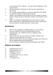corrupt and full of violence - he was found righteous in the eyes of God.

- $\Box$  He did not allow his family to slip into the standard of the world.
- $\Box$  It's a great responsibility as a parent especially the father to raise the family in Godly fear for God.
- $\Box$  Noah's sons believed and entered the ark though it sound foolish. Noah has put in the fear of God in the hearts of his sons
- $\Box$  Noah 'd invested considerable amount of time to teach about God and his righteousness as the whole community he lived with is corrupt and evil in every way.

# **Questions:**

- $\Box$  How is your practise of righteousness in your home  $\Box$
- $\Box$  Do your children find you compromising in your honesty<sup>ID</sup>o your children find you righteous and blameless?
- $\Box$  How much time do you invest in a week to teach your children about God and his ways $\Box$
- $\Box$  What are the efforts you are making towards your family to bring righteousness and spirituality $\Box$
- $\Box$  Do you believe in Biblical discipline towards your kids $\Box$

### **Biblical principles:**

- $\Box$  Deuteronomy 6:4-9
- $\Box$  Deuteronomy 6:1, 2
- $\Box$  Matthew 6:31-33
- $\Box$  1 Timothy 3:4-5
- $\Box$  Proverbs 22:6, 23:13, 29:15
- $\Box$  Mark 10:14
- $\Box$  1 Timothy 4:16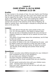# **Lesson 8 CASE STUDY 3: ELI & SONS 1 Samuel 2:12-36**

#### **Profile:**

Eli was a priest in the temple of God. His sons Hophni and Phinihas also served as priests to the Lord. Eli's sons were wicked men and had no regard for the LORD. The sins of the young men were very great in the LORD'S sight, for they were treating the LORD'S offering with contempt. They even committed adultery with a woman who served in the entrance of the Tent of Meeting. Eli failed to restrain them. God brought in disciple by killing both the sons on the same day.

#### **Lesson:**

- $\Box$  Eli's sons did evil though they were priests of the Lord.
- $\Box$  V13, 22: Eli knew about it, but failed to restrain them.
- $\Box$  We can see lack of discipline towards the sons and lack of indignity toward sin made Eli not to restrain his sons from their sins.
- $\Box$  The whole of Israel knew about this wickedness, but Eli filed to take any action.
- $\Box$  The words of discipline were too soft.
- $\Box$  As a father Eli failed in the role of disciplining his sons and he failed to teach and impress on them the Laws of God.
- $\Box$  Though coming from priestly family, Eli failed too protect the sanctity of the offerings and protect those serving the Lord.

### **Questions:**

- $\square$  What's conviction about Biblical discipline for your children $\square$ How consistent are you in your discipline $\square$
- $\square$  Do you know your children's friends $\square$
- $\Box$  Are there frequent complaints about your child's misbehaviour from those outside $\Box$  How are you handling  $them<sub>1</sub>$
- $\Box$  Do you spend constructive time with your children every week - teaching them from the Bible $\square$
- $\Box$  Does your wife / disciples feel you are too soft with your children's discipline $\square$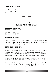### **Biblical principles:**

 $\Box$  Ephesians 6:4  $\Box$  Proverbs 22:6  $\Box$  Proverbs 23:13, 14

\*\*\*\*\*\*\*\*

### **Lesson 9 ISAAC AND REBEKAH**

#### **SCRIPTURE STUDY**

Genesis 24: 1–35 Genesis 24: 1-29; 35

### **INTRODUCTION**

Isaac was the son of a powerful father and Rebekah was from the right family. They began their marriage right but drifted apart over the years and ended up hurting one another.

#### **TENDER BEGINNING**

1. What is the first step to marriage $\Box$ "You shall not take a wife for my son from the daughters of the Canaanites . . . go to my country . . . take a wife for my son" (Gen. 24:3, 4) - Separation - Canaanites were immoral, filthy, and doomed for destruction

2. While we do not choose our children's mates, we must teach them it is imperative to marry believers. (I Cor 7:30; II Cor 6:14)

3. What is the best way to ensure our children get the right mate $\square$ "And he said, 'O Lord God of my master Abraham, I pray thee, send me good speed this day'" (Gen. 24:12) - Prayer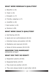### **WHAT WERE REBEKAH'S QUALITIES?**

- a. Beautiful (v.16)
- $b.$  Virgin  $(v.16)$
- c. Energetic (v.17)
- d. Friendly, outgoing (v.17)
- e. Unselfish (v.18)
- f. Hard worker (v.19)
- g. Decisive (v.58)

### **WHAT WERE ISAAC'S QUALITIES?**

- a. God-fearing (26:25)
- b. Quiet and non-confrontational (26:22)
- c. Inherited money and position (24:36)
- d. Meditative and reserved (24:63)
- e. Sense of divine purpose (26:24-29)

#### **DESCRIBE THIS MARRIAGE?** OPPOSITES ATTRACT

### **WHAT DID THEY DO RIGHT?**

- a. Respected customs (24:65)
- b. Respected family (24:67)
- c. They loved one another (24:67)
- d. They were always tender to each other (26:8)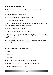### **THEIR MAIN PROBLEMS**

*1. What was their first problem? She was barren (25:21) - Lack of children*

- a. Children never solve a problem
- B. Children sometimes accentuate a problem
- c. Children can bring together

*2. What compounded their problem? Her bubbling personality and his retiring ways led to no communication*

- a. He never wanted to talk about it
- b. She was driven to desperate measures

*3. What were the results of the violent pregnancy? "The children struggled together within her; and she said, 'If it be so, why am I thus?'" (25:22)*

a. As an answer to prayer, she was told, "The older will serve the younger" (25:23) - She never told Isaac

- b. Silent husbands makes wives react
- (1) Nag
- (2) Secretive
- (3) Complain
- *4. How can couples build better communication?*
- a. You talk but do not push. Give an opportunity to talk
- b. Do not judge when he does talk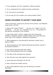- c. If you disagree, be kind, respectful, without sarcasm
- d. Try to understand him instead of being understood
- e. Do not jump to conclusions

f. Do not nag (it's the number one communication killer)

### **USING CHILDREN TO SATISFY YOUR NEED**

"Isaac loved Esau, because he did eat of his venison: but Rebekah loved Jacob" (25:28)

1. Where did it start $\square$ "Sarah . . . my son, (i.e., Isaac)" (21:10). "Abraham . . . his son, (i.e., Ishmael)" (21:11) - The problem of the parents resurfaces in the children.

2. Isaac took pride in Esau's rugged ways and vicariously withdrew. Rebekah enjoyed companionship with Jacob that she never had in her husband - Pathetic arrangement

3. What happened to the parents $\Box A$  dominant mother and a passive father.

4. What happened to the children $\Box$  Parental favoritism results in personality problems.

- 5. How did the parents treat each child $\Box$
- a. Their child pampered and over indulged

b. The other child criticized and rejected

- 6. How did each boy rebel against his parents  $\Box$
- a. Jacob stole the birthright (26:29-34)
- b. Esau married two Hittite women

C. Non-confrontational Isaac just sat eating his venison - Retreated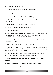- d. Perfect time to talk it over
- e. If parents won't face a problem, it gets bigger

7. The problem returns

a. Isaac secretly plans to bless Esau (27:1-4)

b. Rebekah still hasn't told her husband Isaac is God's chosen (Rom 9:12)

c. The home was built on dishonesty and deceit

- d. A home flourishes on love and honesty
- 8. The awful results

a. Timid Jacob is afraid his father will find out, and then curse him rather then blessing him. Rebekah said, "I will take the curse" - Sounds sacrificial but is emotionally sick

b. Isaac trembled but would not reverse himself - "By faith, Isaac blessed Jacob" (Heb. 11:20)

c. Esau hates Jacob, vows to kill him (27:41)

d. Rebekah still covers up - "I am tired of living with the daughters of Heth, if Jacob takes a wife from the daughters of Heth . . . what will my life be to me" (27:46 NIV)

e. Rebekah alienates her husband, estranges her first-born son, and sends Jacob away but never sees him again

#### **LESSONS FOR HUSBAND AND WIVES TO TAKE AWAY**

a. It does not matter who is at fault - Stop drifting apart

b. Turn around and say I need you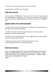- c. Share your ideas and dreams with your mate
- d. Talk about problems and struggles

## **PRAYER FOCUS**

Lord, as I look at Rebekah, I'm so sorry for times I've just used my own selfishness and jealousy of someone to overtake my thoughts and my decisions. Please forgive me. Thank you for my husband's love.

### **QUESTIONS FOR DISCUSSION**

1.Write some occasions where you've had great communication in the past. Why was it wonderful $\Box$ 

2. What are some outward things that block communication between you and your spouse $\square$ 

3. What will you do differently to more aggressively communicate with your spouse this week $\square$ 

4. What are some of your traits that make for good  $common$   $Or$  Poor communication $\Box$ 

### **PRAYER FOCUS**

HELP US UNDERSTAND THAT WE ARE RESPONSIBLE TO RAISE A GODLY GENERATION.WHAT WE SOW IS WHAT WE REAP. "SAVE YOURSELF FROM THIS CORRUPT GENERATION" - STARTS FROM OUR LIVES AS PARENTS AT HOME **AMFNI**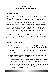# **Lesson 10 ABRAHAM and SARAH**

#### **INTRODUCTION**

Abraham and Sarah are known to be one of the greatest couples in the bible.

Abraham was a friend of GOD & talked with God face to face.

Rom 4:17 - As it is written, I have made you a father of many nations. He is our father in the sight of God, in whom he believes

Rom 4:17 - As it is written, I have made you a father of many nations. He is our father in the sight of God, in whom he believes. He is the father of faith & Sarah is known to be a godly and submissive to her husband.

1Pet 3:6 - Like Sarah, who obeyed Abraham and called him her master, you are her daughter if you do what is right and do not give way to fear.

### **THEIR STRENGTHS**

- $\Box$  When called to leave his comfortable life [Gen 12:1-..], Abraham trusted God & walked with faith to be led by God.
- $\Box$  He trusted God wholeheartedly because of his great walk with God.
- $\Box$  Sarah was submissive to God and her husband, allowing him to lead her [1 Pet 3:5-6]
- $\Box$  When parting with Lot, Abraham again walked by faith and not by sight unlike Lot, trusting fully in God [Gen 13:1]
- $\Box$  Abraham could even persuade God to change his mind and not destroy Sodom & Gomorrah through his earnest prayers [Gen 18:16-33]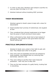- $\Box$  In order to obey God, Abraham went ahead to sacrifice his only son [Gen 22 & Heb 11:17-19]
- $\Box$  Abraham believed without doubting GOD' promises

#### **THEIR WEAKNESSES**

- □ Abraham agreed to Sarah's plans & slept with a slave for descendants
- $\Box$  Sarah doubted God' promise of motherhood; she laughed at God
- $\Box$  They considered their physical weaknesses to be bigger than the power of God's promise & future plans
- $\Box$  When confronted by God, Sarah lied to God instead of apologizing. She wanted to look good before God and feared looking bad

#### **PRACTICLE IMPLEMENTATIONS**

- $\Box$  Abraham & Sarah were united in their faith & walk with God. They helped each other to be godly
- $\Box$  They were warm & hospitable and God was pleased by these qualities. God blessed them by removing their barrenness [Gen18:1-10]
- $\Box$  They were willing to sacrifice their most treasured possession - their only son to obey God
- $\Box$  They are the best example of a godly family, trusting God in everything